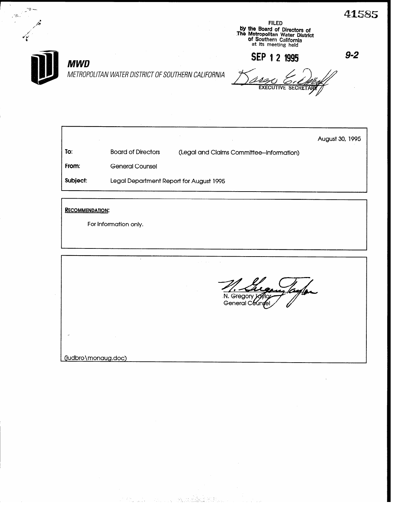FILED py the Board of Directors of<br>The Metropolitan Water District af Southern California at its meeting held

SEP 1 2 1995  $9-2$ 



- 3-

# **MWD**

METROPOLITAN WATER DISTRICT OF SOUTHERN CALIFORNIA

To: Board of Directors (Legal and Claims Committee-Information) From: General Counsel Subject: Legal Department Report for August 1995 August 30, 1995

RECOMMENDATION:

For information only.

N. Gregory J General Cour

(judbro\monaug.doc)

.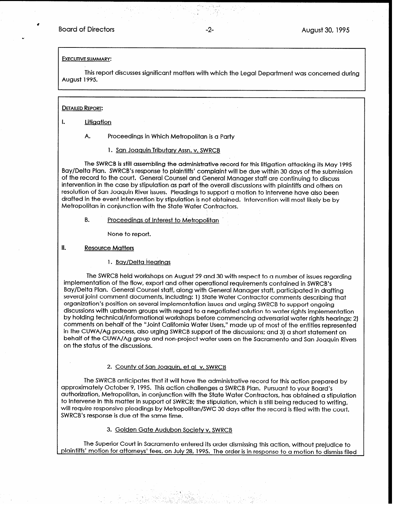\*

#### EXECUTIVE SUMMARY:

This report discusses significant matters with which the Legal Department was concerned during August 1995.

#### DETAILED REPORT:

I. Litigation

A. Proceedings in Which Metropolitan is a Party

1. San Joaauin Tributary Assn. v. SWRCB

The SWRCB is still assembling the administrative record for this litigation attacking its May 1995 Bay/Delta Plan. SWRCB's response to plaintiffs' complaint will be due within 30 days of the submission of the record to the court. General Counsel and General Manager staff are continuing to discuss intervention in the case by stipulation as part of the overall discussions with plaintiffs and others on resolution of San Joaquin River issues. Pleadings to support a motion to intervene have also been drafted in the event intervention by stipulation is not obtained. Intervention will most likely be by Metropolitan in conjunction with the State Water Contractors.

B. Proceedinas of Interest to Metropolitan '

None to report.

#### II. Resource Matters

#### 1. Bay/Delta Hearings

The SWRCB held workshops on August 29 and 30 with respect to a number of issues regarding implementation of the flow, export and other operational requirements contained in SWRCB's Bay/Delta Plan. General Counsel staff, along with General Manager staff, participated in drafting several joint comment documents, including: 1) State Water Contractor comments describing that organization's position on several implementation issues and urging SWRCB to support ongoing discussions with upstream groups with regard to a negotiated solution to water rights implementation by holding technical/informational workshops before commencing adversarial water rights hearings: 2) comments on behalf of the "Joint California Water Users," made up of most of the entities represented in the CUWA/Ag process, also urging SWRCB support of the discussions: and 3) a short statement on behalf of the CUWA/Ag group and non-project water users on the Sacramento and San Joaquin Rivers on the status of the discussions.

#### 2. County of San Joaauin, et al v. SWRCB

The SWRCB anticipates that it will have the administrative record for this action prepared by approximately October 9, 1995. This action challenges a SWRCB Plan. Pursuant to your Board's authorization, Metropolitan, in conjunction with the State Water Contractors, has obtained a stipulation to intervene in this matter in support of SWRCB: the stipulation, which is still being reduced to writing, will require responsive pleadings by Metropolitan/SWC 30 days after the record is filed with the court. SWRCB's response is due at the same time.

# 3. Golden Gate Audubon Society v. SWRCB

The Superior Court in Sacramento entered its order dismissing this action, without prejudice to plaintiffs' motion for attorneys' fees, on July 28, 1995. The order is in response to a motion to dismiss filed